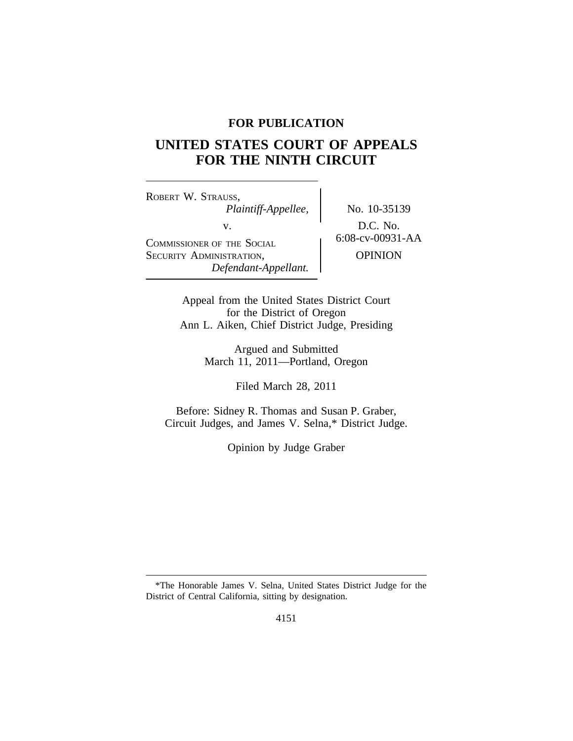## **FOR PUBLICATION**

# **UNITED STATES COURT OF APPEALS FOR THE NINTH CIRCUIT**

<sup>R</sup>OBERT W. STRAUSS, *Plaintiff-Appellee,* No. 10-35139 v.<br>
COMMISSIONER OF THE SOCIAL
BETTER OF THE SOCIAL
BETTER OF THE SOCIAL
BETTER OF THE SOCIAL
BETTER OF THE SOCIAL
BETTER OF THE SOCIAL
BETTER OF THE SOCIAL
BETTER OF THE SOCIAL
BETTER OF THE SOCIAL
BETTER OF THE SOCIAL
BE SECURITY ADMINISTRATION, **OPINION** *Defendant-Appellant.*

Appeal from the United States District Court for the District of Oregon Ann L. Aiken, Chief District Judge, Presiding

> Argued and Submitted March 11, 2011—Portland, Oregon

> > Filed March 28, 2011

Before: Sidney R. Thomas and Susan P. Graber, Circuit Judges, and James V. Selna,\* District Judge.

Opinion by Judge Graber

<sup>\*</sup>The Honorable James V. Selna, United States District Judge for the District of Central California, sitting by designation.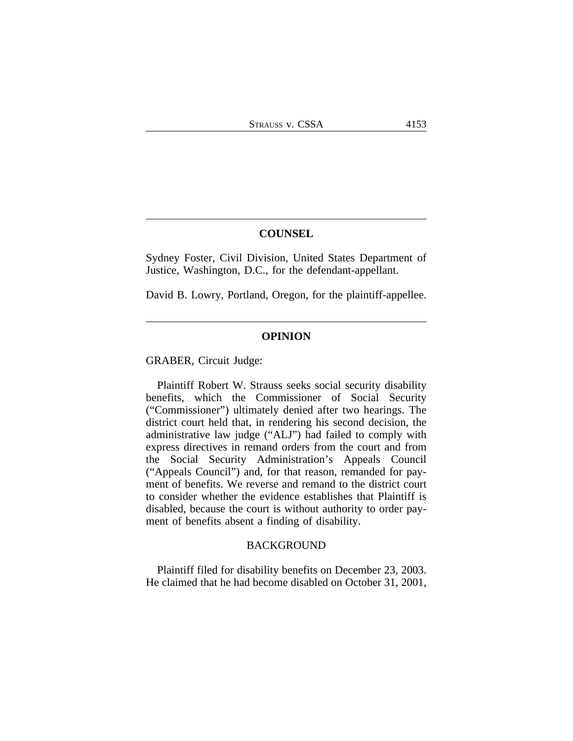### **COUNSEL**

Sydney Foster, Civil Division, United States Department of Justice, Washington, D.C., for the defendant-appellant.

David B. Lowry, Portland, Oregon, for the plaintiff-appellee.

### **OPINION**

GRABER, Circuit Judge:

Plaintiff Robert W. Strauss seeks social security disability benefits, which the Commissioner of Social Security ("Commissioner") ultimately denied after two hearings. The district court held that, in rendering his second decision, the administrative law judge ("ALJ") had failed to comply with express directives in remand orders from the court and from the Social Security Administration's Appeals Council ("Appeals Council") and, for that reason, remanded for payment of benefits. We reverse and remand to the district court to consider whether the evidence establishes that Plaintiff is disabled, because the court is without authority to order payment of benefits absent a finding of disability.

#### BACKGROUND

Plaintiff filed for disability benefits on December 23, 2003. He claimed that he had become disabled on October 31, 2001,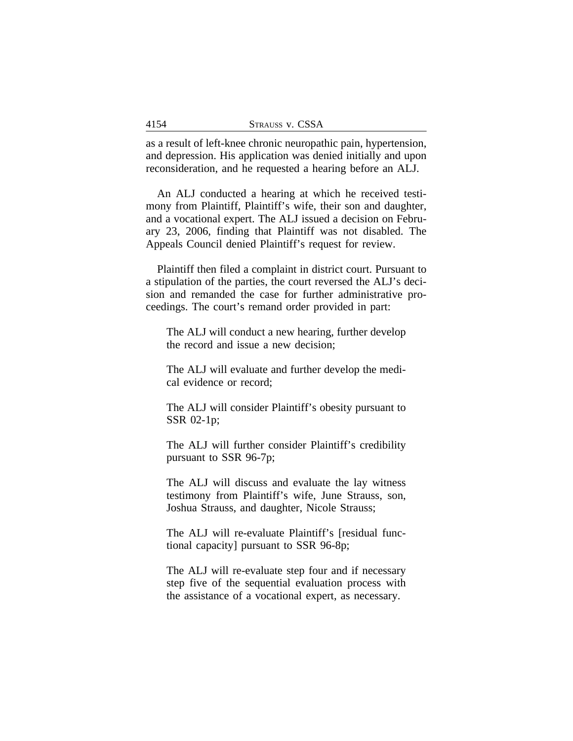as a result of left-knee chronic neuropathic pain, hypertension, and depression. His application was denied initially and upon reconsideration, and he requested a hearing before an ALJ.

An ALJ conducted a hearing at which he received testimony from Plaintiff, Plaintiff's wife, their son and daughter, and a vocational expert. The ALJ issued a decision on February 23, 2006, finding that Plaintiff was not disabled. The Appeals Council denied Plaintiff's request for review.

Plaintiff then filed a complaint in district court. Pursuant to a stipulation of the parties, the court reversed the ALJ's decision and remanded the case for further administrative proceedings. The court's remand order provided in part:

The ALJ will conduct a new hearing, further develop the record and issue a new decision;

The ALJ will evaluate and further develop the medical evidence or record;

The ALJ will consider Plaintiff's obesity pursuant to SSR 02-1p;

The ALJ will further consider Plaintiff's credibility pursuant to SSR 96-7p;

The ALJ will discuss and evaluate the lay witness testimony from Plaintiff's wife, June Strauss, son, Joshua Strauss, and daughter, Nicole Strauss;

The ALJ will re-evaluate Plaintiff's [residual functional capacity] pursuant to SSR 96-8p;

The ALJ will re-evaluate step four and if necessary step five of the sequential evaluation process with the assistance of a vocational expert, as necessary.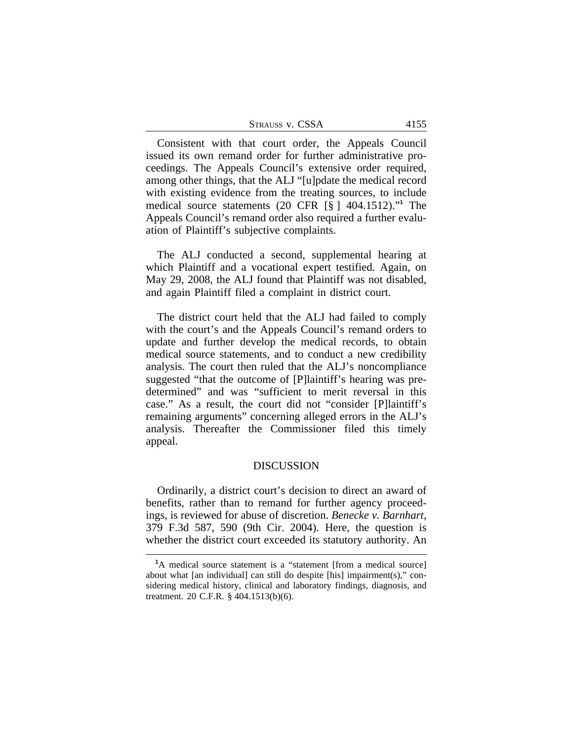| STRAUSS V. CSSA |
|-----------------|
|-----------------|

Consistent with that court order, the Appeals Council issued its own remand order for further administrative proceedings. The Appeals Council's extensive order required, among other things, that the ALJ "[u]pdate the medical record with existing evidence from the treating sources, to include medical source statements (20 CFR [§ ] 404.1512)." **1** The Appeals Council's remand order also required a further evaluation of Plaintiff's subjective complaints.

The ALJ conducted a second, supplemental hearing at which Plaintiff and a vocational expert testified. Again, on May 29, 2008, the ALJ found that Plaintiff was not disabled, and again Plaintiff filed a complaint in district court.

The district court held that the ALJ had failed to comply with the court's and the Appeals Council's remand orders to update and further develop the medical records, to obtain medical source statements, and to conduct a new credibility analysis. The court then ruled that the ALJ's noncompliance suggested "that the outcome of [P]laintiff's hearing was predetermined" and was "sufficient to merit reversal in this case." As a result, the court did not "consider [P]laintiff's remaining arguments" concerning alleged errors in the ALJ's analysis. Thereafter the Commissioner filed this timely appeal.

#### DISCUSSION

Ordinarily, a district court's decision to direct an award of benefits, rather than to remand for further agency proceedings, is reviewed for abuse of discretion. *Benecke v. Barnhart*, 379 F.3d 587, 590 (9th Cir. 2004). Here, the question is whether the district court exceeded its statutory authority. An

<sup>&</sup>lt;sup>1</sup>A medical source statement is a "statement [from a medical source] about what [an individual] can still do despite [his] impairment(s)," considering medical history, clinical and laboratory findings, diagnosis, and treatment. 20 C.F.R. § 404.1513(b)(6).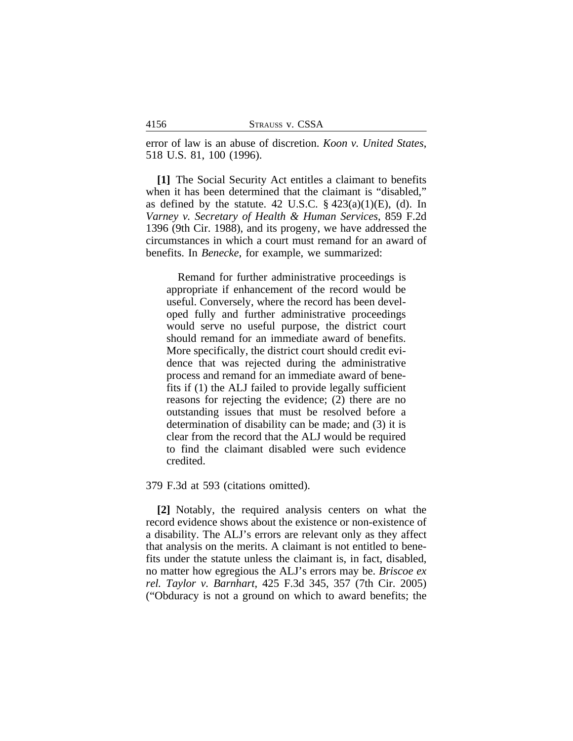error of law is an abuse of discretion. *Koon v. United States*, 518 U.S. 81, 100 (1996).

**[1]** The Social Security Act entitles a claimant to benefits when it has been determined that the claimant is "disabled," as defined by the statute. 42 U.S.C.  $\S$  423(a)(1)(E), (d). In *Varney v. Secretary of Health & Human Services*, 859 F.2d 1396 (9th Cir. 1988), and its progeny, we have addressed the circumstances in which a court must remand for an award of benefits. In *Benecke*, for example, we summarized:

Remand for further administrative proceedings is appropriate if enhancement of the record would be useful. Conversely, where the record has been developed fully and further administrative proceedings would serve no useful purpose, the district court should remand for an immediate award of benefits. More specifically, the district court should credit evidence that was rejected during the administrative process and remand for an immediate award of benefits if (1) the ALJ failed to provide legally sufficient reasons for rejecting the evidence; (2) there are no outstanding issues that must be resolved before a determination of disability can be made; and (3) it is clear from the record that the ALJ would be required to find the claimant disabled were such evidence credited.

379 F.3d at 593 (citations omitted).

**[2]** Notably, the required analysis centers on what the record evidence shows about the existence or non-existence of a disability. The ALJ's errors are relevant only as they affect that analysis on the merits. A claimant is not entitled to benefits under the statute unless the claimant is, in fact, disabled, no matter how egregious the ALJ's errors may be. *Briscoe ex rel. Taylor v. Barnhart*, 425 F.3d 345, 357 (7th Cir. 2005) ("Obduracy is not a ground on which to award benefits; the